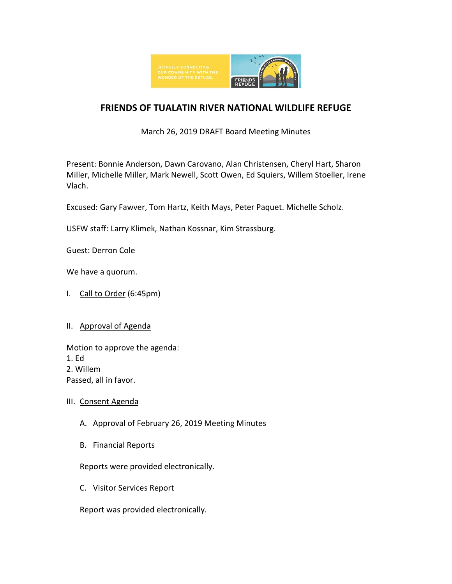

# **FRIENDS OF TUALATIN RIVER NATIONAL WILDLIFE REFUGE**

## March 26, 2019 DRAFT Board Meeting Minutes

Present: Bonnie Anderson, Dawn Carovano, Alan Christensen, Cheryl Hart, Sharon Miller, Michelle Miller, Mark Newell, Scott Owen, Ed Squiers, Willem Stoeller, Irene Vlach.

Excused: Gary Fawver, Tom Hartz, Keith Mays, Peter Paquet. Michelle Scholz.

USFW staff: Larry Klimek, Nathan Kossnar, Kim Strassburg.

Guest: Derron Cole

We have a quorum.

I. Call to Order (6:45pm)

## II. Approval of Agenda

Motion to approve the agenda: 1. Ed 2. Willem Passed, all in favor.

## III. Consent Agenda

- A. Approval of February 26, 2019 Meeting Minutes
- B. Financial Reports

Reports were provided electronically.

C. Visitor Services Report

Report was provided electronically.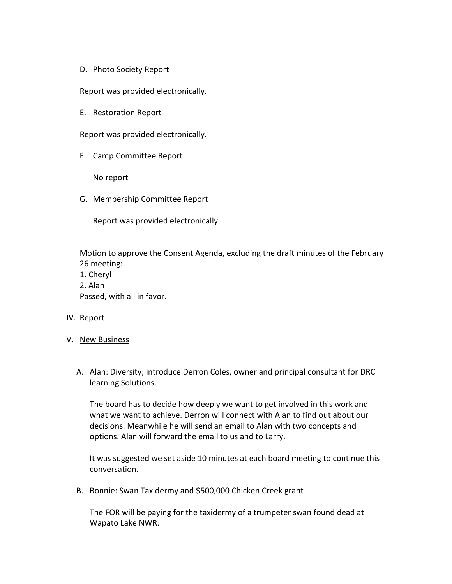D. Photo Society Report

Report was provided electronically.

E. Restoration Report

Report was provided electronically.

F. Camp Committee Report

No report

G. Membership Committee Report

Report was provided electronically.

Motion to approve the Consent Agenda, excluding the draft minutes of the February 26 meeting:

- 1. Cheryl
- 2. Alan

Passed, with all in favor.

#### IV. Report

- V. New Business
	- A. Alan: Diversity; introduce Derron Coles, owner and principal consultant for DRC learning Solutions.

The board has to decide how deeply we want to get involved in this work and what we want to achieve. Derron will connect with Alan to find out about our decisions. Meanwhile he will send an email to Alan with two concepts and options. Alan will forward the email to us and to Larry.

It was suggested we set aside 10 minutes at each board meeting to continue this conversation.

B. Bonnie: Swan Taxidermy and \$500,000 Chicken Creek grant

The FOR will be paying for the taxidermy of a trumpeter swan found dead at Wapato Lake NWR.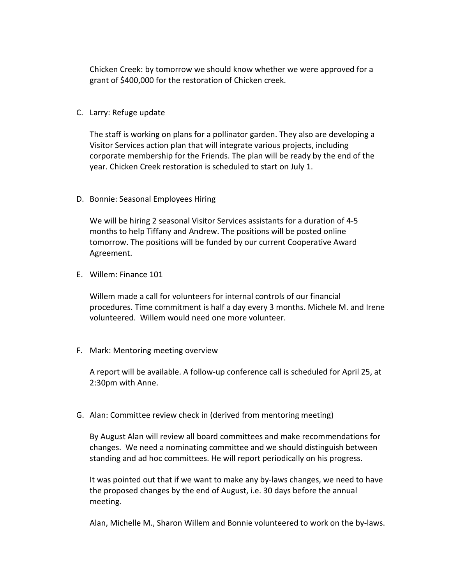Chicken Creek: by tomorrow we should know whether we were approved for a grant of \$400,000 for the restoration of Chicken creek.

C. Larry: Refuge update

The staff is working on plans for a pollinator garden. They also are developing a Visitor Services action plan that will integrate various projects, including corporate membership for the Friends. The plan will be ready by the end of the year. Chicken Creek restoration is scheduled to start on July 1.

D. Bonnie: Seasonal Employees Hiring

We will be hiring 2 seasonal Visitor Services assistants for a duration of 4-5 months to help Tiffany and Andrew. The positions will be posted online tomorrow. The positions will be funded by our current Cooperative Award Agreement.

E. Willem: Finance 101

Willem made a call for volunteers for internal controls of our financial procedures. Time commitment is half a day every 3 months. Michele M. and Irene volunteered. Willem would need one more volunteer.

F. Mark: Mentoring meeting overview

A report will be available. A follow-up conference call is scheduled for April 25, at 2:30pm with Anne.

G. Alan: Committee review check in (derived from mentoring meeting)

By August Alan will review all board committees and make recommendations for changes. We need a nominating committee and we should distinguish between standing and ad hoc committees. He will report periodically on his progress.

It was pointed out that if we want to make any by-laws changes, we need to have the proposed changes by the end of August, i.e. 30 days before the annual meeting.

Alan, Michelle M., Sharon Willem and Bonnie volunteered to work on the by-laws.